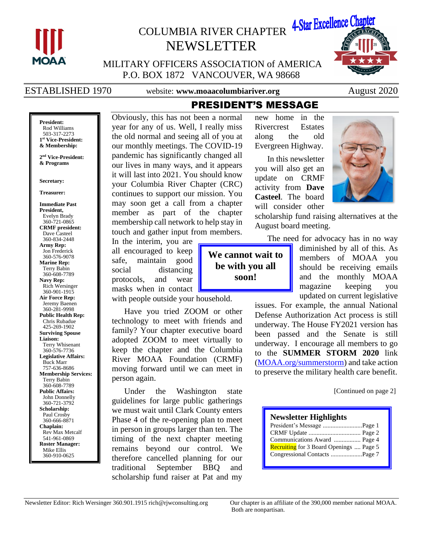

# COLUMBIA RIVER CHAPTER 4-Star Excellence Chapter NEWSLETTER



MILITARY OFFICERS ASSOCIATION of AMERICA P.O. BOX 1872 VANCOUVER, WA 98668

ESTABLISHED 1970 website: **www.moaacolumbiariver.org** August 2020

#### **President:** Rod Williams 503-317-2273 **1 st Vice-President: & Membership:**

**2 nd Vice-President: & Programs**

#### **Secretary:**

#### **Treasurer:**

**Immediate Past President,**  Evelyn Brady 360-721-0865 **CRMF president:** Dave Casteel 360-834-2448 **Army Rep:** Jon Frederick 360-576-9078 **Marine Rep:** Terry Babin 360-608-7789 **Navy Rep:** Rich Wersinger 360-901-1915 **Air Force Rep:** Jeremy Baenen 360-281-9998 **Public Health Rep:** Chris Rubadue 425-269-1902 **Surviving Spouse Liaison:** Terry Whisenant 360-576-7736 **Legislative Affairs:** Buck Marr 757-636-8686 **Membership Services:** Terry Babin 360-608-7789 **Public Affairs:** John Donnelly 360-721-3792 **Scholarship:** Paul Crosby 360-666-8871 **Chaplain:** Rev Max Metcalf 541-961-0869 **Roster Manager:** Mike Ellis 360-910-0625

Obviously, this has not been a normal year for any of us. Well, I really miss the old normal and seeing all of you at our monthly meetings. The COVID-19 pandemic has significantly changed all our lives in many ways, and it appears it will last into 2021. You should know your Columbia River Chapter (CRC) continues to support our mission. You may soon get a call from a chapter member as part of the chapter membership call network to help stay in touch and gather input from members.

In the interim, you are all encouraged to keep safe, maintain good social distancing protocols, and wear masks when in contact

with people outside your household.

Have you tried ZOOM or other technology to meet with friends and family? Your chapter executive board adopted ZOOM to meet virtually to keep the chapter and the Columbia River MOAA Foundation (CRMF) moving forward until we can meet in person again.

Under the Washington state guidelines for large public gatherings we must wait until Clark County enters Phase 4 of the re-opening plan to meet in person in groups larger than ten. The timing of the next chapter meeting remains beyond our control. We therefore cancelled planning for our traditional September BBQ and scholarship fund raiser at Pat and my

new home in the Rivercrest Estates along the old Evergreen Highway.

In this newsletter you will also get an update on CRMF activity from **Dave Casteel**. The board will consider other

scholarship fund raising alternatives at the August board meeting.

The need for advocacy has in no way

**We cannot wait to be with you all soon!**

PRESIDENT'S MESSAGE

diminished by all of this. As members of MOAA you should be receiving emails and the monthly MOAA magazine keeping you updated on current legislative

issues. For example, the annual National Defense Authorization Act process is still underway. The House FY2021 version has been passed and the Senate is still underway. I encourage all members to go to the **SUMMER STORM 2020** link [\(MOAA.org/summerstorm\)](http://www.moaa.org/summerstorm) and take action to preserve the military health care benefit.

[Continued on page 2]

#### **Newsletter Highlights**

| Communications Award  Page 4                   |  |
|------------------------------------------------|--|
| <b>Recruiting</b> for 3 Board Openings  Page 5 |  |
| Congressional Contacts Page 7                  |  |
|                                                |  |

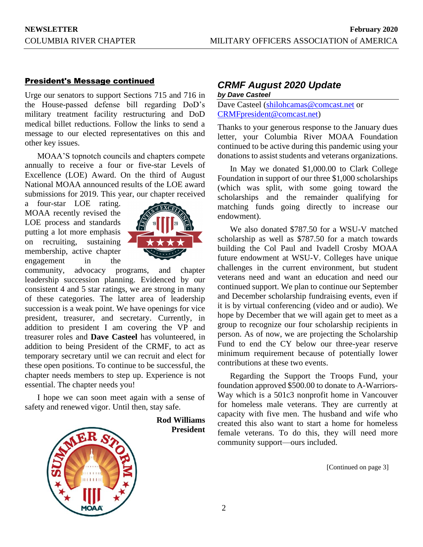### President's Message continued

Urge our senators to support Sections 715 and 716 in the House-passed defense bill regarding DoD's military treatment facility restructuring and DoD medical billet reductions. Follow the links to send a message to our elected representatives on this and other key issues.

MOAA'S topnotch councils and chapters compete annually to receive a four or five-star Levels of Excellence (LOE) Award. On the third of August National MOAA announced results of the LOE award submissions for 2019. This year, our chapter received

a four-star LOE rating. MOAA recently revised the LOE process and standards putting a lot more emphasis on recruiting, sustaining membership, active chapter engagement in the



community, advocacy programs, and chapter leadership succession planning. Evidenced by our consistent 4 and 5 star ratings, we are strong in many of these categories. The latter area of leadership succession is a weak point. We have openings for vice president, treasurer, and secretary. Currently, in addition to president I am covering the VP and treasurer roles and **Dave Casteel** has volunteered, in addition to being President of the CRMF, to act as temporary secretary until we can recruit and elect for these open positions. To continue to be successful, the chapter needs members to step up. Experience is not essential. The chapter needs you!

I hope we can soon meet again with a sense of safety and renewed vigor. Until then, stay safe.

> **Rod Williams President**

# *CRMF August 2020 Update by Dave Casteel*

# Dave Casteel [\(shilohcamas@comcast.net](mailto:shilohcamas@comcast.net) or [CRMFpresident@comcast.net\)](mailto:CRMFpresident@comcast.net)

Thanks to your generous response to the January dues letter, your Columbia River MOAA Foundation continued to be active during this pandemic using your donations to assist students and veterans organizations.

In May we donated \$1,000.00 to Clark College Foundation in support of our three \$1,000 scholarships (which was split, with some going toward the scholarships and the remainder qualifying for matching funds going directly to increase our endowment).

We also donated \$787.50 for a WSU-V matched scholarship as well as \$787.50 for a match towards building the Col Paul and Ivadell Crosby MOAA future endowment at WSU-V. Colleges have unique challenges in the current environment, but student veterans need and want an education and need our continued support. We plan to continue our September and December scholarship fundraising events, even if it is by virtual conferencing (video and or audio). We hope by December that we will again get to meet as a group to recognize our four scholarship recipients in person. As of now, we are projecting the Scholarship Fund to end the CY below our three-year reserve minimum requirement because of potentially lower contributions at these two events.

Regarding the Support the Troops Fund, your foundation approved \$500.00 to donate to A-Warriors-Way which is a 501c3 nonprofit home in Vancouver for homeless male veterans. They are currently at capacity with five men. The husband and wife who created this also want to start a home for homeless female veterans. To do this, they will need more community support—ours included.

[Continued on page 3]

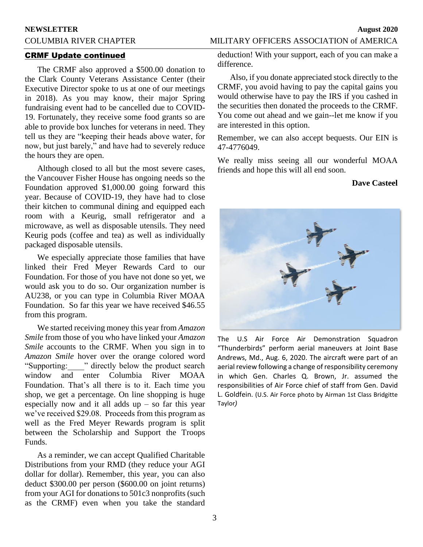#### **NEWSLETTER August 2020**

#### COLUMBIA RIVER CHAPTER MILITARY OFFICERS ASSOCIATION of AMERICA

#### CRMF Update continued

The CRMF also approved a \$500.00 donation to the Clark County Veterans Assistance Center (their Executive Director spoke to us at one of our meetings in 2018). As you may know, their major Spring fundraising event had to be cancelled due to COVID-19. Fortunately, they receive some food grants so are able to provide box lunches for veterans in need. They tell us they are "keeping their heads above water, for now, but just barely," and have had to severely reduce the hours they are open.

Although closed to all but the most severe cases, the Vancouver Fisher House has ongoing needs so the Foundation approved \$1,000.00 going forward this year. Because of COVID-19, they have had to close their kitchen to communal dining and equipped each room with a Keurig, small refrigerator and a microwave, as well as disposable utensils. They need Keurig pods (coffee and tea) as well as individually packaged disposable utensils.

We especially appreciate those families that have linked their Fred Meyer Rewards Card to our Foundation. For those of you have not done so yet, we would ask you to do so. Our organization number is AU238, or you can type in Columbia River MOAA Foundation. So far this year we have received \$46.55 from this program.

We started receiving money this year from *Amazon Smile* from those of you who have linked your *Amazon Smile* accounts to the CRMF. When you sign in to *Amazon Smile* hover over the orange colored word "Supporting:\_\_\_\_" directly below the product search window and enter Columbia River MOAA Foundation. That's all there is to it. Each time you shop, we get a percentage. On line shopping is huge especially now and it all adds  $up - so$  far this year we've received \$29.08. Proceeds from this program as well as the Fred Meyer Rewards program is split between the Scholarship and Support the Troops Funds.

As a reminder, we can accept Qualified Charitable Distributions from your RMD (they reduce your AGI dollar for dollar). Remember, this year, you can also deduct \$300.00 per person (\$600.00 on joint returns) from your AGI for donations to 501c3 nonprofits (such as the CRMF) even when you take the standard

deduction! With your support, each of you can make a difference.

Also, if you donate appreciated stock directly to the CRMF, you avoid having to pay the capital gains you would otherwise have to pay the IRS if you cashed in the securities then donated the proceeds to the CRMF. You come out ahead and we gain--let me know if you are interested in this option.

Remember, we can also accept bequests. Our EIN is 47-4776049.

We really miss seeing all our wonderful MOAA friends and hope this will all end soon.

#### **Dave Casteel**



The U.S Air Force Air Demonstration Squadron "Thunderbirds" perform aerial maneuvers at Joint Base Andrews, Md., Aug. 6, 2020. The aircraft were part of an aerial review following a change of responsibility ceremony in which Gen. Charles Q. Brown, Jr. assumed the responsibilities of Air Force chief of staff from Gen. David L. Goldfein. (U.S. Air Force photo by Airman 1st Class Bridgitte Taylor*)*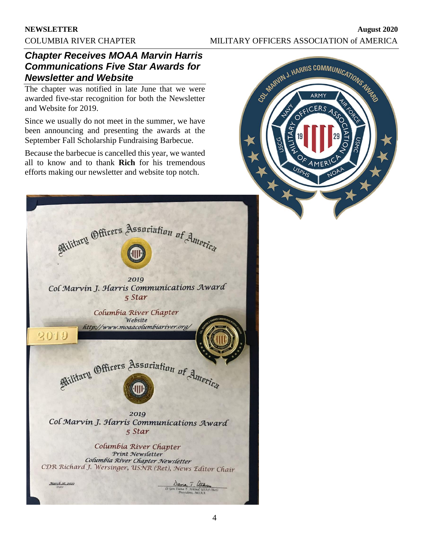**NEWSLETTER August 2020**

# COLUMBIA RIVER CHAPTER MILITARY OFFICERS ASSOCIATION of AMERICA

SENSITION J. HARRIS COMMUNICATIONS AVERE

**AMER** 

# *Chapter Receives MOAA Marvin Harris Communications Five Star Awards for Newsletter and Website*

The chapter was notified in late June that we were awarded five-star recognition for both the Newsletter and Website for 2019.

Since we usually do not meet in the summer, we have been announcing and presenting the awards at the September Fall Scholarship Fundraising Barbecue.

Because the barbecue is cancelled this year, we wanted all to know and to thank **Rich** for his tremendous efforts making our newsletter and website top notch.

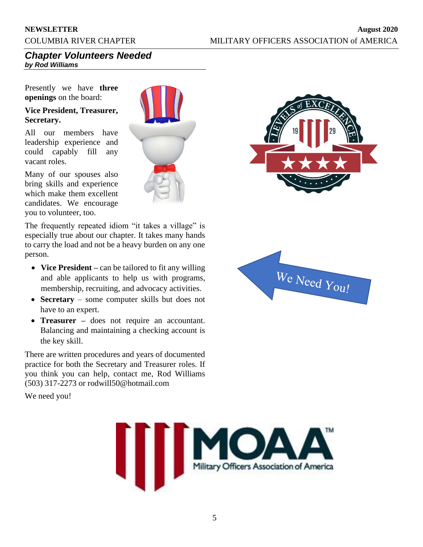# *Chapter Volunteers Needed by Rod Williams*

Presently we have **three openings** on the board:

# **Vice President, Treasurer, Secretary.**

All our members have leadership experience and could capably fill any vacant roles.

Many of our spouses also bring skills and experience which make them excellent candidates. We encourage you to volunteer, too.

The frequently repeated idiom "it takes a village" is especially true about our chapter. It takes many hands to carry the load and not be a heavy burden on any one person.

- **Vice President** can be tailored to fit any willing and able applicants to help us with programs, membership, recruiting, and advocacy activities.
- **Secretary** some computer skills but does not have to an expert.
- **Treasurer –** does not require an accountant. Balancing and maintaining a checking account is the key skill.

There are written procedures and years of documented practice for both the Secretary and Treasurer roles. If you think you can help, contact me, Rod Williams (503) 317-2273 or rodwill50@hotmail.com

We need you!







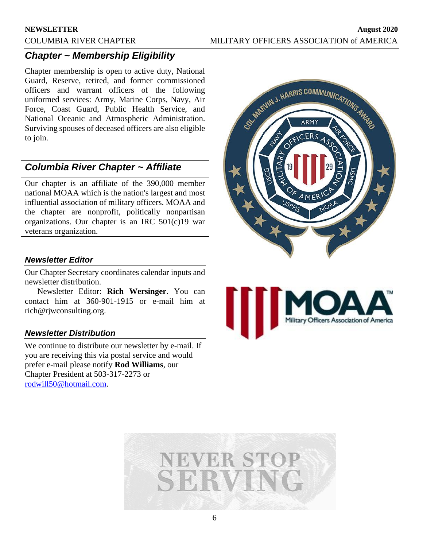# *Chapter ~ Membership Eligibility*

Chapter membership is open to active duty, National Guard, Reserve, retired, and former commissioned officers and warrant officers of the following uniformed services: Army, Marine Corps, Navy, Air Force, Coast Guard, Public Health Service, and National Oceanic and Atmospheric Administration. Surviving spouses of deceased officers are also eligible to join.

# *Columbia River Chapter ~ Affiliate*

Our chapter is an affiliate of the 390,000 member national MOAA which is the nation's largest and most influential association of military officers. MOAA and the chapter are nonprofit, politically nonpartisan organizations. Our chapter is an IRC 501(c)19 war veterans organization.

### *Newsletter Editor*

Our Chapter Secretary coordinates calendar inputs and newsletter distribution.

Newsletter Editor: **Rich Wersinger**. You can contact him at 360-901-1915 or e-mail him at rich@rjwconsulting.org.

### *Newsletter Distribution*

We continue to distribute our newsletter by e-mail. If you are receiving this via postal service and would prefer e-mail please notify **Rod Williams**, our Chapter President at 503-317-2273 or [rodwill50@hotmail.com.](mailto:rodwill50@hotmail.com)